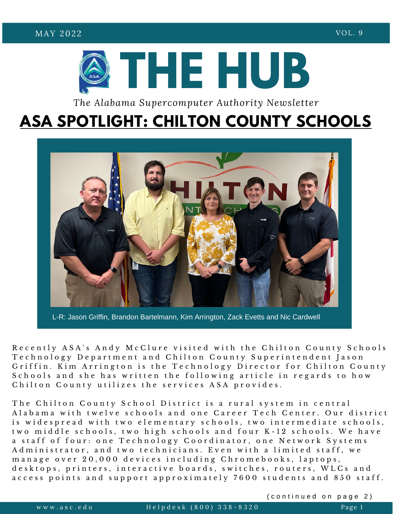

*The Alabama Supercomputer Authority Newsletter*

## **ASA SPOTLIGHT: CHILTON COUNTY SCHOOLS**



L-R: Jason Griffin, Brandon Bartelmann, Kim Arrington, Zack Evetts and Nic Cardwell

S chools and she has written the following article in regards to how Recently ASA's Andy McClure visited with the Chilton County Schools Technology Department and Chilton County Superintendent Jason Griffin. Kim Arrington is the Technology Director for Chilton County Chilton County utilizes the services ASA provides.

**ASA VISITS CHILTON** A labama with twelve schools and one Career Tech Center. Our district a stail of four: one fechnology Coordinator, one Network system<br>Administrator, and two technicians. Even with a limited staff, we m a n a g e o v e r 20,000 d e v i c e s in c l u d i n g C h r o m e b o o k s , l a p t o p s , desktops, printers, interactive boards, switches, routers, WLCs and **SUPERCENTER** a c c e s s p o i n t s a n d s u p p o r t a p p r o x i m a t e l y 7 6 0 0 s t u d e n t s a n d 8 5 0 s t a f f . The Chilton County School District is a rural system in central is widespread with two elementary schools, two intermediate schools, two middle schools, two high schools and four K-12 schools. We have a staff of four: one Technology Coordinator, one Network Systems

(continued on page 2)

w w w . a s c . e d u u u H e l p d e s k ( 800)  $338 - 8320$  Page 1